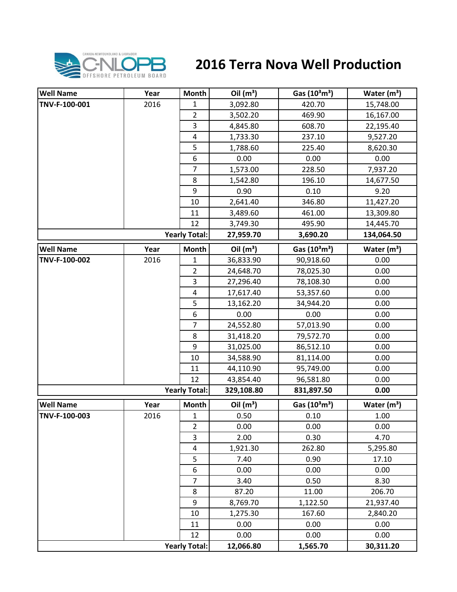

## **2016 Terra Nova Well Production**

| <b>Well Name</b> | Year | <b>Month</b>         | Oil $(m^3)$ | Gas $(10^3 \text{m}^3)$               | Water $(m^3)$ |
|------------------|------|----------------------|-------------|---------------------------------------|---------------|
| TNV-F-100-001    | 2016 | 1                    | 3,092.80    | 420.70                                | 15,748.00     |
|                  |      | $\overline{2}$       | 3,502.20    | 469.90                                | 16,167.00     |
|                  |      | 3                    | 4,845.80    | 608.70                                | 22,195.40     |
|                  |      | $\pmb{4}$            | 1,733.30    | 237.10                                | 9,527.20      |
|                  |      | 5                    | 1,788.60    | 225.40                                | 8,620.30      |
|                  |      | 6                    | 0.00        | 0.00                                  | 0.00          |
|                  |      | $\overline{7}$       | 1,573.00    | 228.50                                | 7,937.20      |
|                  |      | 8                    | 1,542.80    | 196.10                                | 14,677.50     |
|                  |      | 9                    | 0.90        | 0.10                                  | 9.20          |
|                  |      | 10                   | 2,641.40    | 346.80                                | 11,427.20     |
|                  |      | 11                   | 3,489.60    | 461.00                                | 13,309.80     |
|                  |      | 12                   | 3,749.30    | 495.90                                | 14,445.70     |
|                  |      | <b>Yearly Total:</b> | 27,959.70   | 3,690.20                              | 134,064.50    |
| <b>Well Name</b> | Year | <b>Month</b>         | Oil $(m^3)$ | Gas (10 <sup>3</sup> m <sup>3</sup> ) | Water $(m3)$  |
| TNV-F-100-002    | 2016 | 1                    | 36,833.90   | 90,918.60                             | 0.00          |
|                  |      | $\overline{2}$       | 24,648.70   | 78,025.30                             | 0.00          |
|                  |      | 3                    | 27,296.40   | 78,108.30                             | 0.00          |
|                  |      | 4                    | 17,617.40   | 53,357.60                             | 0.00          |
|                  |      | 5                    | 13,162.20   | 34,944.20                             | 0.00          |
|                  |      | 6                    | 0.00        | 0.00                                  | 0.00          |
|                  |      | $\overline{7}$       | 24,552.80   | 57,013.90                             | 0.00          |
|                  |      | 8                    | 31,418.20   | 79,572.70                             | 0.00          |
|                  |      | 9                    | 31,025.00   | 86,512.10                             | 0.00          |
|                  |      | 10                   | 34,588.90   | 81,114.00                             | 0.00          |
|                  |      | 11                   | 44,110.90   | 95,749.00                             | 0.00          |
|                  |      | 12                   | 43,854.40   | 96,581.80                             | 0.00          |
|                  |      | <b>Yearly Total:</b> | 329,108.80  | 831,897.50                            | 0.00          |
| <b>Well Name</b> | Year | Month                | Oil $(m^3)$ | Gas $(10^3 \text{m}^3)$               | Water $(m^3)$ |
| TNV-F-100-003    | 2016 | $\mathbf{1}$         | 0.50        | 0.10                                  | 1.00          |
|                  |      | $\overline{2}$       | 0.00        | 0.00                                  | 0.00          |
|                  |      | 3                    | 2.00        | 0.30                                  | 4.70          |
|                  |      | $\overline{4}$       | 1,921.30    | 262.80                                | 5,295.80      |
|                  |      | 5                    | 7.40        | 0.90                                  | 17.10         |
|                  |      | 6                    | 0.00        | 0.00                                  | 0.00          |
|                  |      | $\overline{7}$       | 3.40        | 0.50                                  | 8.30          |
|                  |      | 8                    | 87.20       | 11.00                                 | 206.70        |
|                  |      | 9                    | 8,769.70    | 1,122.50                              | 21,937.40     |
|                  |      | 10                   | 1,275.30    | 167.60                                | 2,840.20      |
|                  |      | 11                   | 0.00        | 0.00                                  | 0.00          |
|                  |      | 12                   | 0.00        | 0.00                                  | 0.00          |
|                  |      | <b>Yearly Total:</b> | 12,066.80   | 1,565.70                              | 30,311.20     |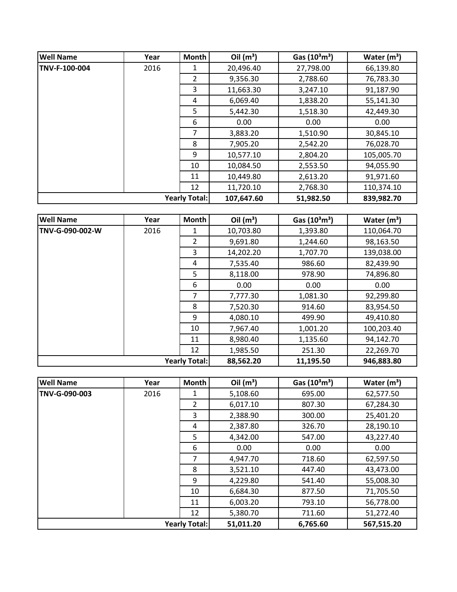| <b>Well Name</b> | Year                 | Month          | Oil $(m^3)$ | Gas $(10^3 \text{m}^3)$ | Water $(m^3)$ |
|------------------|----------------------|----------------|-------------|-------------------------|---------------|
| TNV-F-100-004    | 2016                 | 1              | 20,496.40   | 27,798.00               | 66,139.80     |
|                  |                      | $\overline{2}$ | 9,356.30    | 2,788.60                | 76,783.30     |
|                  |                      | 3              | 11,663.30   | 3,247.10                | 91,187.90     |
|                  |                      | 4              | 6,069.40    | 1,838.20                | 55,141.30     |
|                  |                      | 5              | 5,442.30    | 1,518.30                | 42,449.30     |
|                  |                      | 6              | 0.00        | 0.00                    | 0.00          |
|                  |                      | 7              | 3,883.20    | 1,510.90                | 30,845.10     |
|                  |                      | 8              | 7,905.20    | 2,542.20                | 76,028.70     |
|                  |                      | 9              | 10,577.10   | 2,804.20                | 105,005.70    |
|                  |                      | 10             | 10,084.50   | 2,553.50                | 94,055.90     |
|                  |                      | 11             | 10,449.80   | 2,613.20                | 91,971.60     |
|                  |                      | 12             | 11,720.10   | 2,768.30                | 110,374.10    |
|                  | <b>Yearly Total:</b> |                | 107,647.60  | 51,982.50               | 839,982.70    |

| <b>Well Name</b> | Year | <b>Month</b>         | Oil $(m^3)$ | Gas $(10^3 \text{m}^3)$ | Water $(m^3)$ |
|------------------|------|----------------------|-------------|-------------------------|---------------|
| TNV-G-090-002-W  | 2016 | 1                    | 10,703.80   | 1,393.80                | 110,064.70    |
|                  |      | 2                    | 9,691.80    | 1,244.60                | 98,163.50     |
|                  |      | 3                    | 14,202.20   | 1,707.70                | 139,038.00    |
|                  |      | 4                    | 7,535.40    | 986.60                  | 82,439.90     |
|                  |      | 5                    | 8,118.00    | 978.90                  | 74,896.80     |
|                  |      | 6                    | 0.00        | 0.00                    | 0.00          |
|                  |      | 7                    | 7,777.30    | 1,081.30                | 92,299.80     |
|                  |      | 8                    | 7,520.30    | 914.60                  | 83,954.50     |
|                  |      | 9                    | 4,080.10    | 499.90                  | 49,410.80     |
|                  |      | 10                   | 7,967.40    | 1,001.20                | 100,203.40    |
|                  |      | 11                   | 8,980.40    | 1,135.60                | 94,142.70     |
|                  |      | 12                   | 1,985.50    | 251.30                  | 22,269.70     |
|                  |      | <b>Yearly Total:</b> | 88,562.20   | 11,195.50               | 946,883.80    |

| <b>Well Name</b> | Year | <b>Month</b>         | Oil $(m^3)$ | Gas $(10^3 \text{m}^3)$ | Water $(m^3)$ |
|------------------|------|----------------------|-------------|-------------------------|---------------|
| TNV-G-090-003    | 2016 | 1                    | 5,108.60    | 695.00                  | 62,577.50     |
|                  |      | $\overline{2}$       | 6,017.10    | 807.30                  | 67,284.30     |
|                  |      | 3                    | 2,388.90    | 300.00                  | 25,401.20     |
|                  |      | 4                    | 2,387.80    | 326.70                  | 28,190.10     |
|                  |      | 5                    | 4,342.00    | 547.00                  | 43,227.40     |
|                  |      | 6                    | 0.00        | 0.00                    | 0.00          |
|                  |      | 7                    | 4,947.70    | 718.60                  | 62,597.50     |
|                  |      | 8                    | 3,521.10    | 447.40                  | 43,473.00     |
|                  |      | 9                    | 4,229.80    | 541.40                  | 55,008.30     |
|                  |      | 10                   | 6,684.30    | 877.50                  | 71,705.50     |
|                  |      | 11                   | 6,003.20    | 793.10                  | 56,778.00     |
|                  |      | 12                   | 5,380.70    | 711.60                  | 51,272.40     |
|                  |      | <b>Yearly Total:</b> | 51,011.20   | 6,765.60                | 567,515.20    |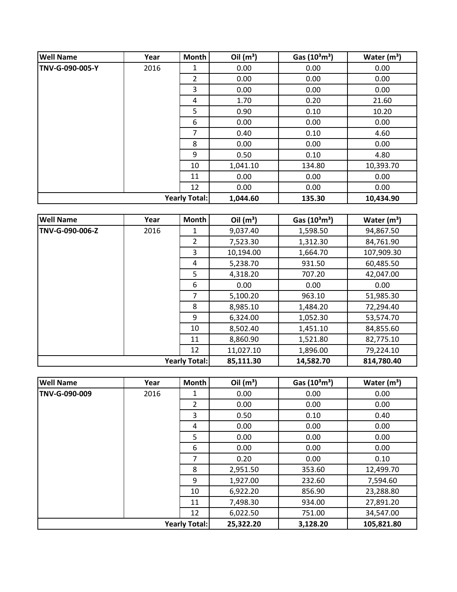| <b>Well Name</b> | Year | <b>Month</b>         | Oil $(m^3)$ | Gas $(10^3 \text{m}^3)$ | Water $(m^3)$ |
|------------------|------|----------------------|-------------|-------------------------|---------------|
| TNV-G-090-005-Y  | 2016 | 1                    | 0.00        | 0.00                    | 0.00          |
|                  |      | $\overline{2}$       | 0.00        | 0.00                    | 0.00          |
|                  |      | 3                    | 0.00        | 0.00                    | 0.00          |
|                  |      | 4                    | 1.70        | 0.20                    | 21.60         |
|                  |      | 5                    | 0.90        | 0.10                    | 10.20         |
|                  |      | 6                    | 0.00        | 0.00                    | 0.00          |
|                  |      | 7                    | 0.40        | 0.10                    | 4.60          |
|                  |      | 8                    | 0.00        | 0.00                    | 0.00          |
|                  |      | 9                    | 0.50        | 0.10                    | 4.80          |
|                  |      | 10                   | 1,041.10    | 134.80                  | 10,393.70     |
|                  |      | 11                   | 0.00        | 0.00                    | 0.00          |
|                  |      | 12                   | 0.00        | 0.00                    | 0.00          |
|                  |      | <b>Yearly Total:</b> | 1,044.60    | 135.30                  | 10,434.90     |

| <b>Well Name</b>     | Year | <b>Month</b>   | Oil $(m^3)$ | Gas $(10^3 \text{m}^3)$ | Water $(m^3)$ |
|----------------------|------|----------------|-------------|-------------------------|---------------|
| TNV-G-090-006-Z      | 2016 |                | 9,037.40    | 1,598.50                | 94,867.50     |
|                      |      | $\overline{2}$ | 7,523.30    | 1,312.30                | 84,761.90     |
|                      |      | 3              | 10,194.00   | 1,664.70                | 107,909.30    |
|                      |      | 4              | 5,238.70    | 931.50                  | 60,485.50     |
|                      |      | 5              | 4,318.20    | 707.20                  | 42,047.00     |
|                      |      | 6              | 0.00        | 0.00                    | 0.00          |
|                      |      | 7              | 5,100.20    | 963.10                  | 51,985.30     |
|                      |      | 8              | 8,985.10    | 1,484.20                | 72,294.40     |
|                      |      | 9              | 6,324.00    | 1,052.30                | 53,574.70     |
|                      |      | 10             | 8,502.40    | 1,451.10                | 84,855.60     |
|                      |      | 11             | 8,860.90    | 1,521.80                | 82,775.10     |
|                      |      | 12             | 11,027.10   | 1,896.00                | 79,224.10     |
| <b>Yearly Total:</b> |      |                | 85,111.30   | 14,582.70               | 814,780.40    |

| <b>Well Name</b> | Year | <b>Month</b>         | Oil $(m^3)$ | Gas $(10^3 \text{m}^3)$ | Water $(m^3)$ |
|------------------|------|----------------------|-------------|-------------------------|---------------|
| TNV-G-090-009    | 2016 | 1                    | 0.00        | 0.00                    | 0.00          |
|                  |      | $\overline{2}$       | 0.00        | 0.00                    | 0.00          |
|                  |      | 3                    | 0.50        | 0.10                    | 0.40          |
|                  |      | 4                    | 0.00        | 0.00                    | 0.00          |
|                  |      | 5                    | 0.00        | 0.00                    | 0.00          |
|                  |      | 6                    | 0.00        | 0.00                    | 0.00          |
|                  |      | 7                    | 0.20        | 0.00                    | 0.10          |
|                  |      | 8                    | 2,951.50    | 353.60                  | 12,499.70     |
|                  |      | q                    | 1,927.00    | 232.60                  | 7,594.60      |
|                  |      | 10                   | 6,922.20    | 856.90                  | 23,288.80     |
|                  |      | 11                   | 7,498.30    | 934.00                  | 27,891.20     |
|                  |      | 12                   | 6,022.50    | 751.00                  | 34,547.00     |
|                  |      | <b>Yearly Total:</b> | 25,322.20   | 3,128.20                | 105,821.80    |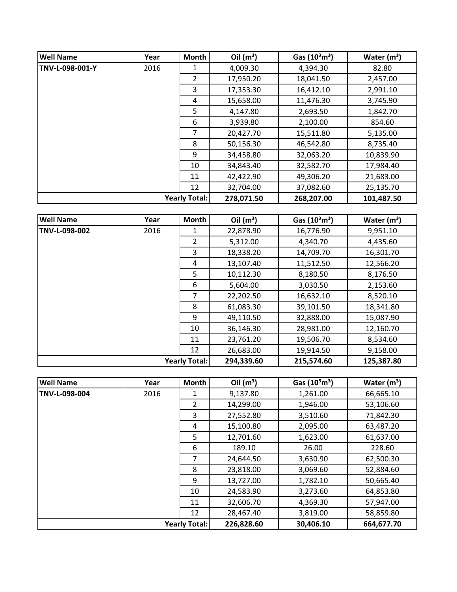| <b>Well Name</b> | Year                 | <b>Month</b>   | Oil $(m^3)$ | Gas $(10^3 \text{m}^3)$ | Water $(m^3)$ |
|------------------|----------------------|----------------|-------------|-------------------------|---------------|
| TNV-L-098-001-Y  | 2016                 |                | 4,009.30    | 4,394.30                | 82.80         |
|                  |                      | $\overline{2}$ | 17,950.20   | 18,041.50               | 2,457.00      |
|                  |                      | 3              | 17,353.30   | 16,412.10               | 2,991.10      |
|                  |                      | 4              | 15,658.00   | 11,476.30               | 3,745.90      |
|                  |                      | 5.             | 4,147.80    | 2,693.50                | 1,842.70      |
|                  |                      | 6              | 3,939.80    | 2,100.00                | 854.60        |
|                  |                      | 7              | 20,427.70   | 15,511.80               | 5,135.00      |
|                  |                      | 8              | 50,156.30   | 46,542.80               | 8,735.40      |
|                  |                      | 9              | 34,458.80   | 32,063.20               | 10,839.90     |
|                  |                      | 10             | 34,843.40   | 32,582.70               | 17,984.40     |
|                  |                      | 11             | 42,422.90   | 49,306.20               | 21,683.00     |
|                  |                      | 12             | 32,704.00   | 37,082.60               | 25,135.70     |
|                  | <b>Yearly Total:</b> |                | 278,071.50  | 268,207.00              | 101,487.50    |

| <b>Well Name</b>     | Year | Month          | Oil $(m^3)$ | Gas $(10^3 \text{m}^3)$ | Water $(m^3)$ |
|----------------------|------|----------------|-------------|-------------------------|---------------|
| TNV-L-098-002        | 2016 | 1              | 22,878.90   | 16,776.90               | 9,951.10      |
|                      |      | $\overline{2}$ | 5,312.00    | 4,340.70                | 4,435.60      |
|                      |      | 3              | 18,338.20   | 14,709.70               | 16,301.70     |
|                      |      | 4              | 13,107.40   | 11,512.50               | 12,566.20     |
|                      |      | 5              | 10,112.30   | 8,180.50                | 8,176.50      |
|                      |      | 6              | 5,604.00    | 3,030.50                | 2,153.60      |
|                      |      | 7              | 22,202.50   | 16,632.10               | 8,520.10      |
|                      |      | 8              | 61,083.30   | 39,101.50               | 18,341.80     |
|                      |      | 9              | 49,110.50   | 32,888.00               | 15,087.90     |
|                      |      | 10             | 36,146.30   | 28,981.00               | 12,160.70     |
|                      |      | 11             | 23,761.20   | 19,506.70               | 8,534.60      |
|                      |      | 12             | 26,683.00   | 19,914.50               | 9,158.00      |
| <b>Yearly Total:</b> |      |                | 294,339.60  | 215,574.60              | 125,387.80    |

| <b>Well Name</b> | Year | <b>Month</b>         | Oil $(m^3)$ | Gas $(10^3 \text{m}^3)$ | Water $(m^3)$ |
|------------------|------|----------------------|-------------|-------------------------|---------------|
| TNV-L-098-004    | 2016 |                      | 9,137.80    | 1,261.00                | 66,665.10     |
|                  |      | $\overline{2}$       | 14,299.00   | 1,946.00                | 53,106.60     |
|                  |      | 3                    | 27,552.80   | 3,510.60                | 71,842.30     |
|                  |      | 4                    | 15,100.80   | 2,095.00                | 63,487.20     |
|                  |      | 5                    | 12,701.60   | 1,623.00                | 61,637.00     |
|                  |      | 6                    | 189.10      | 26.00                   | 228.60        |
|                  |      | 7                    | 24,644.50   | 3,630.90                | 62,500.30     |
|                  |      | 8                    | 23,818.00   | 3,069.60                | 52,884.60     |
|                  |      | 9                    | 13,727.00   | 1,782.10                | 50,665.40     |
|                  |      | 10                   | 24,583.90   | 3,273.60                | 64,853.80     |
|                  |      | 11                   | 32,606.70   | 4,369.30                | 57,947.00     |
|                  |      | 12                   | 28,467.40   | 3,819.00                | 58,859.80     |
|                  |      | <b>Yearly Total:</b> | 226,828.60  | 30,406.10               | 664,677.70    |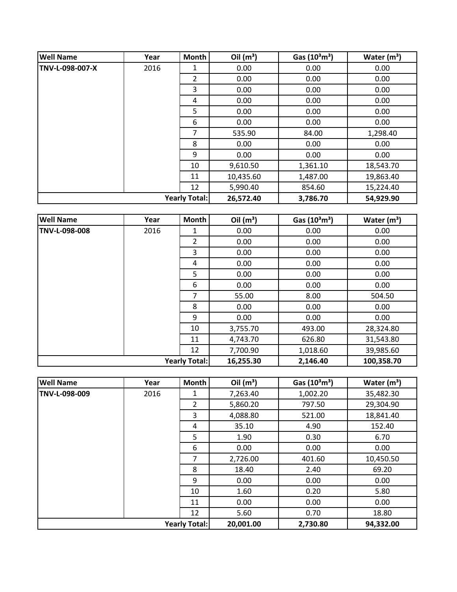| <b>Well Name</b> | Year | Month                | Oil $(m^3)$ | Gas $(10^3 \text{m}^3)$ | Water $(m^3)$ |
|------------------|------|----------------------|-------------|-------------------------|---------------|
| TNV-L-098-007-X  | 2016 | 1                    | 0.00        | 0.00                    | 0.00          |
|                  |      | $\overline{2}$       | 0.00        | 0.00                    | 0.00          |
|                  |      | 3                    | 0.00        | 0.00                    | 0.00          |
|                  |      | 4                    | 0.00        | 0.00                    | 0.00          |
|                  |      | 5                    | 0.00        | 0.00                    | 0.00          |
|                  |      | 6                    | 0.00        | 0.00                    | 0.00          |
|                  |      | 7                    | 535.90      | 84.00                   | 1,298.40      |
|                  |      | 8                    | 0.00        | 0.00                    | 0.00          |
|                  |      | 9                    | 0.00        | 0.00                    | 0.00          |
|                  |      | 10                   | 9,610.50    | 1,361.10                | 18,543.70     |
|                  |      | 11                   | 10,435.60   | 1,487.00                | 19,863.40     |
|                  |      | 12                   | 5,990.40    | 854.60                  | 15,224.40     |
|                  |      | <b>Yearly Total:</b> | 26,572.40   | 3,786.70                | 54,929.90     |

| <b>Well Name</b>     | Year | Month          | Oil $(m^3)$ | Gas $(10^3 \text{m}^3)$ | Water $(m^3)$ |
|----------------------|------|----------------|-------------|-------------------------|---------------|
| TNV-L-098-008        | 2016 | 1              | 0.00        | 0.00                    | 0.00          |
|                      |      | $\overline{2}$ | 0.00        | 0.00                    | 0.00          |
|                      |      | 3              | 0.00        | 0.00                    | 0.00          |
|                      |      | 4              | 0.00        | 0.00                    | 0.00          |
|                      |      | 5              | 0.00        | 0.00                    | 0.00          |
|                      |      | 6              | 0.00        | 0.00                    | 0.00          |
|                      |      | $\overline{7}$ | 55.00       | 8.00                    | 504.50        |
|                      |      | 8              | 0.00        | 0.00                    | 0.00          |
|                      |      | 9              | 0.00        | 0.00                    | 0.00          |
|                      |      | 10             | 3,755.70    | 493.00                  | 28,324.80     |
|                      |      | 11             | 4,743.70    | 626.80                  | 31,543.80     |
|                      |      | 12             | 7,700.90    | 1,018.60                | 39,985.60     |
| <b>Yearly Total:</b> |      |                | 16,255.30   | 2,146.40                | 100,358.70    |

| <b>Well Name</b>     | Year | <b>Month</b>   | Oil $(m^3)$ | Gas $(10^3 \text{m}^3)$ | Water $(m^3)$ |
|----------------------|------|----------------|-------------|-------------------------|---------------|
| TNV-L-098-009        | 2016 | 1              | 7,263.40    | 1,002.20                | 35,482.30     |
|                      |      | $\overline{2}$ | 5,860.20    | 797.50                  | 29,304.90     |
|                      |      | 3              | 4,088.80    | 521.00                  | 18,841.40     |
|                      |      | 4              | 35.10       | 4.90                    | 152.40        |
|                      |      | 5              | 1.90        | 0.30                    | 6.70          |
|                      |      | 6              | 0.00        | 0.00                    | 0.00          |
|                      |      | 7              | 2,726.00    | 401.60                  | 10,450.50     |
|                      |      | 8              | 18.40       | 2.40                    | 69.20         |
|                      |      | q              | 0.00        | 0.00                    | 0.00          |
|                      |      | 10             | 1.60        | 0.20                    | 5.80          |
|                      |      | 11             | 0.00        | 0.00                    | 0.00          |
|                      |      | 12             | 5.60        | 0.70                    | 18.80         |
| <b>Yearly Total:</b> |      |                | 20,001.00   | 2,730.80                | 94,332.00     |